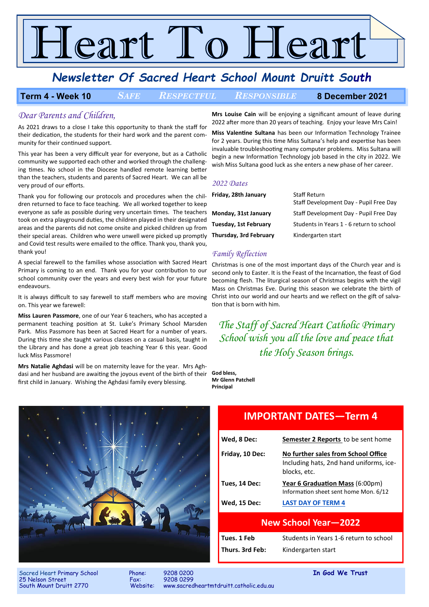# leart To F leart

## *Newsletter Of Sacred Heart School Mount Druitt South*

**Term 4 - Week 10** *SAFE RESPECTFUL RESPONSIBLE* **8 December 2021**

#### *Dear Parents and Children,*

As 2021 draws to a close I take this opportunity to thank the staff for their dedication, the students for their hard work and the parent community for their continued support.

This year has been a very difficult year for everyone, but as a Catholic community we supported each other and worked through the challenging times. No school in the Diocese handled remote learning better than the teachers, students and parents of Sacred Heart. We can all be very proud of our efforts.

Thank you for following our protocols and procedures when the children returned to face to face teaching. We all worked together to keep everyone as safe as possible during very uncertain times. The teachers n took on extra playground duties, the children played in their designated . areas and the parents did not come onsite and picked children up from their special areas. Children who were unwell were picked up promptly and Covid test results were emailed to the office. Thank you, thank you, thank you!

A special farewell to the families whose association with Sacred Heart Primary is coming to an end. Thank you for your contribution to our school community over the years and every best wish for your future endeavours.

It is always difficult to say farewell to staff members who are moving on. This year we farewell:

**Miss Lauren Passmore**, one of our Year 6 teachers, who has accepted a permanent teaching position at St. Luke's Primary School Marsden Park. Miss Passmore has been at Sacred Heart for a number of years. During this time she taught various classes on a casual basis, taught in the Library and has done a great job teaching Year 6 this year. Good luck Miss Passmore!

**Mrs Natalie Aghdasi** will be on maternity leave for the year. Mrs Aghdasi and her husband are awaiting the joyous event of the birth of their first child in January. Wishing the Aghdasi family every blessing.



**Mrs Louise Cain** will be enjoying a significant amount of leave during 2022 after more than 20 years of teaching. Enjoy your leave Mrs Cain!

**Miss Valentine Sultana** has been our Information Technology Trainee for 2 years. During this time Miss Sultana's help and expertise has been invaluable troubleshooting many computer problems. Miss Sultana will begin a new Information Technology job based in the city in 2022. We wish Miss Sultana good luck as she enters a new phase of her career.

#### *2022 Dates*

| Friday, 28th January   | <b>Staff Return</b><br>Staff Development Day - Pupil Free Day |
|------------------------|---------------------------------------------------------------|
| Monday, 31st January   | Staff Development Day - Pupil Free Day                        |
| Tuesday, 1st February  | Students in Years 1 - 6 return to school                      |
| Thursday, 3rd February | Kindergarten start                                            |

#### *Family Reflection*

Christmas is one of the most important days of the Church year and is second only to Easter. It is the Feast of the Incarnation, the feast of God becoming flesh. The liturgical season of Christmas begins with the vigil Mass on Christmas Eve. During this season we celebrate the birth of Christ into our world and our hearts and we reflect on the gift of salvation that is born with him.

*The Staff of Sacred Heart Catholic Primary School wish you all the love and peace that the Holy Season brings.* 

**God bless, Mr Glenn Patchell Principal**

### **IMPORTANT DATES—Term 4**

| Wed, 8 Dec:         | Semester 2 Reports to be sent home                                                             |
|---------------------|------------------------------------------------------------------------------------------------|
| Friday, 10 Dec:     | No further sales from School Office<br>Including hats, 2nd hand uniforms, ice-<br>blocks, etc. |
| Tues, 14 Dec:       | Year 6 Graduation Mass (6:00pm)<br>Information sheet sent home Mon. 6/12                       |
| <b>Wed, 15 Dec:</b> | <b>LAST DAY OF TERM 4</b>                                                                      |

#### **New School Year—2022**

| Tues. 1 Feb     | Students in Years 1-6 return to school |
|-----------------|----------------------------------------|
| Thurs. 3rd Feb: | Kindergarten start                     |

25 Nelson Street<br>South Mount Druitt 2770

Sacred Heart Primary School Phone: 9208 0200 **In God We Trust** www.sacredheartmtdruitt.catholic.edu.au